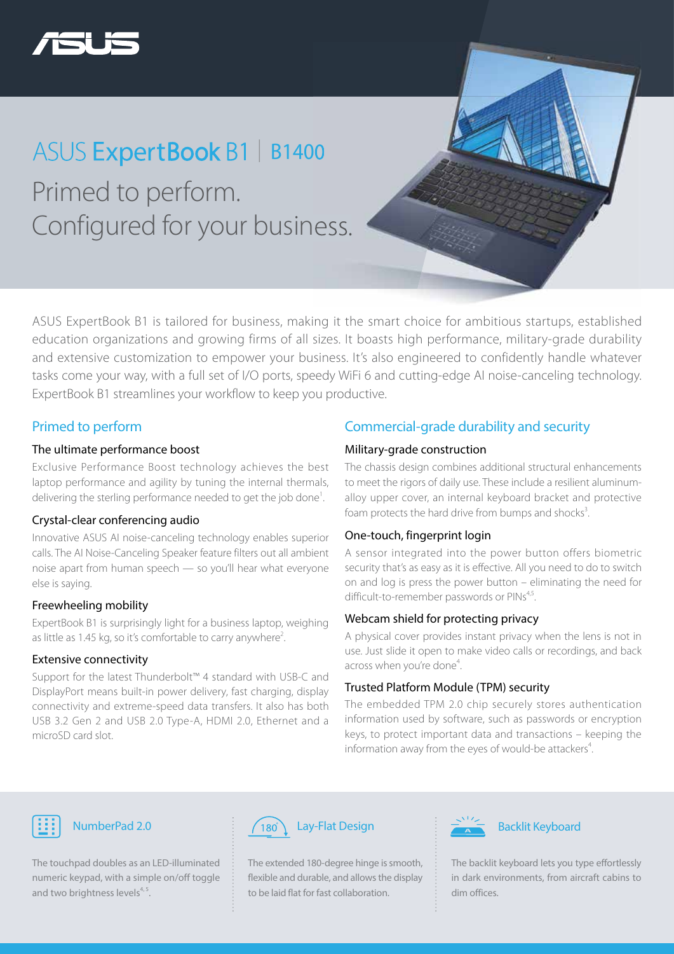

## Primed to perform. Configured for your business. ASUS ExpertBook B1 | B1400

ASUS ExpertBook B1 is tailored for business, making it the smart choice for ambitious startups, established education organizations and growing firms of all sizes. It boasts high performance, military-grade durability and extensive customization to empower your business. It's also engineered to confidently handle whatever tasks come your way, with a full set of I/O ports, speedy WiFi 6 and cutting-edge AI noise-canceling technology. ExpertBook B1 streamlines your workflow to keep you productive.

#### Primed to perform

#### The ultimate performance boost

Exclusive Performance Boost technology achieves the best laptop performance and agility by tuning the internal thermals, delivering the sterling performance needed to get the job done<sup>1</sup>.

#### Crystal-clear conferencing audio

Innovative ASUS AI noise-canceling technology enables superior calls. The AI Noise-Canceling Speaker feature filters out all ambient noise apart from human speech — so you'll hear what everyone else is saying.

#### Freewheeling mobility

ExpertBook B1 is surprisingly light for a business laptop, weighing as little as 1.45 kg, so it's comfortable to carry anywhere<sup>2</sup>. .

#### Extensive connectivity

Support for the latest Thunderbolt™ 4 standard with USB-C and DisplayPort means built-in power delivery, fast charging, display connectivity and extreme-speed data transfers. It also has both USB 3.2 Gen 2 and USB 2.0 Type-A, HDMI 2.0, Ethernet and a microSD card slot.

### Commercial-grade durability and security

#### Military-grade construction

The chassis design combines additional structural enhancements to meet the rigors of daily use. These include a resilient aluminumalloy upper cover, an internal keyboard bracket and protective foam protects the hard drive from bumps and shocks<sup>3</sup>. .

#### One-touch, fingerprint login

A sensor integrated into the power button offers biometric security that's as easy as it is effective. All you need to do to switch on and log is press the power button – eliminating the need for difficult-to-remember passwords or PINs<sup>4,5</sup>.

#### Webcam shield for protecting privacy

A physical cover provides instant privacy when the lens is not in use. Just slide it open to make video calls or recordings, and back across when you're done<sup>4</sup>. .

#### Trusted Platform Module (TPM) security

The embedded TPM 2.0 chip securely stores authentication information used by software, such as passwords or encryption keys, to protect important data and transactions – keeping the information away from the eyes of would-be attackers<sup>4</sup>. .



The touchpad doubles as an LED-illuminated numeric keypad, with a simple on/off toggle and two brightness levels $4,5$ .



The extended 180-degree hinge is smooth, flexible and durable, and allows the display to be laid flat for fast collaboration.



The backlit keyboard lets you type effortlessly in dark environments, from aircraft cabins to dim offices.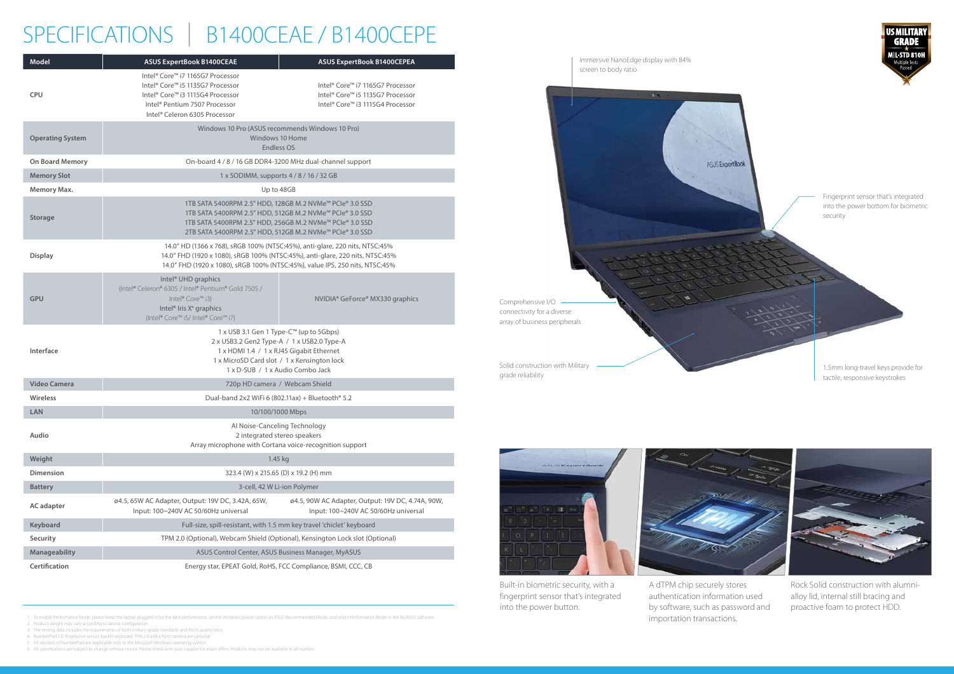1. To enable Performance Mode, please keep the laptop plugged in for the best performance, set the Windows power option as ASUS Recommended Mode, and select Performance Mode in the MyASUS software.

2. Product weight may vary according to device configuration.

4. NumberPad 2.0, fingerprint sensor, backlit keyboard, TPM 2.0 and a front camera are optional. 5. All versions of NumberPad are applicable only to the Microsoft Windows operating system.

6. All specifications are subject to change without notice. Please check with your supplier for exact offers. Products may not be available in all markets.



3. The testing data includes the requirements of both military-grade standards and ASUS quality tests.

# SPECIFICATIONS | B1400CEAE / B1400CEPE

| <b>Model</b>            | <b>ASUS ExpertBook B1400CEAE</b>                                                                                                                                                                                     | <b>ASUS ExpertBook B1400CEPEA</b>                                                                                    |
|-------------------------|----------------------------------------------------------------------------------------------------------------------------------------------------------------------------------------------------------------------|----------------------------------------------------------------------------------------------------------------------|
| <b>CPU</b>              | Intel® Core™ i7 1165G7 Processor<br>Intel® Core™ i5 1135G7 Processor<br>Intel® Core™ i3 1115G4 Processor<br>Intel® Pentium 7507 Processor<br>Intel® Celeron 6305 Processor                                           | Intel® Core™ i7 1165G7 Processor<br>Intel® Core™ i5 1135G7 Processor<br>Intel® Core™ i3 1115G4 Processor             |
| <b>Operating System</b> | Windows 10 Pro (ASUS recommends Windows 10 Pro)<br>Windows 10 Home<br>Endless OS<br>On-board 4 / 8 / 16 GB DDR4-3200 MHz dual-channel support                                                                        |                                                                                                                      |
| On Board Memory         |                                                                                                                                                                                                                      |                                                                                                                      |
| <b>Memory Slot</b>      | 1 x SODIMM, supports 4 / 8 / 16 / 32 GB                                                                                                                                                                              |                                                                                                                      |
| Memory Max.             | Up to 48GB                                                                                                                                                                                                           |                                                                                                                      |
| <b>Storage</b>          | 1TB SATA 5400RPM 2.5" HDD, 256GB M.2 NVMe™ PCIe® 3.0 SSD<br>2TB SATA 5400RPM 2.5" HDD, 512GB M.2 NVMe™ PCIe® 3.0 SSD                                                                                                 | 1TB SATA 5400RPM 2.5" HDD, 128GB M.2 NVMe™ PCIe® 3.0 SSD<br>1TB SATA 5400RPM 2.5" HDD, 512GB M.2 NVMe™ PCIe® 3.0 SSD |
| <b>Display</b>          | 14.0" HD (1366 x 768), sRGB 100% (NTSC:45%), anti-glare, 220 nits, NTSC:45%<br>14.0" FHD (1920 x 1080), sRGB 100% (NTSC:45%), value IPS, 250 nits, NTSC:45%                                                          | 14.0" FHD (1920 x 1080), sRGB 100% (NTSC:45%), anti-glare, 220 nits, NTSC:45%                                        |
| <b>GPU</b>              | Intel <sup>®</sup> UHD graphics<br>(Intel® Celeron® 6305 / Intel® Pentium® Gold 7505 /<br>Intel® Core™ i3)<br>Intel <sup>®</sup> Iris X <sup>e</sup> graphics<br>(Intel® Core™ i5/ Intel® Core™ i7)                  | NVIDIA® GeForce® MX330 graphics                                                                                      |
| Interface               | 1 x USB 3.1 Gen 1 Type-C™ (up to 5Gbps)<br>2 x USB3.2 Gen2 Type-A / 1 x USB2.0 Type-A<br>1 x HDMI 1.4 / 1 x RJ45 Gigabit Ethernet<br>1 x MicroSD Card slot / 1 x Kensington lock<br>1 x D-SUB / 1 x Audio Combo Jack |                                                                                                                      |
| <b>Video Camera</b>     | 720p HD camera / Webcam Shield                                                                                                                                                                                       |                                                                                                                      |
| Wireless                | Dual-band 2x2 WiFi 6 (802.11ax) + Bluetooth® 5.2                                                                                                                                                                     |                                                                                                                      |
| ${\sf LAN}$             | 10/100/1000 Mbps                                                                                                                                                                                                     |                                                                                                                      |
| Audio                   | Al Noise-Canceling Technology<br>2 integrated stereo speakers<br>Array microphone with Cortana voice-recognition support                                                                                             |                                                                                                                      |
| Weight                  | 1.45 kg                                                                                                                                                                                                              |                                                                                                                      |
| <b>Dimension</b>        | 323.4 (W) x 215.65 (D) x 19.2 (H) mm                                                                                                                                                                                 |                                                                                                                      |
| <b>Battery</b>          | 3-cell, 42 W Li-ion Polymer                                                                                                                                                                                          |                                                                                                                      |
| <b>AC</b> adapter       | ø4.5, 65W AC Adapter, Output: 19V DC, 3.42A, 65W,<br>Input: 100~240V AC 50/60Hz universal                                                                                                                            | ø4.5, 90W AC Adapter, Output: 19V DC, 4.74A, 90W,<br>Input: 100~240V AC 50/60Hz universal                            |
| Keyboard                | Full-size, spill-resistant, with 1.5 mm key travel 'chiclet' keyboard                                                                                                                                                |                                                                                                                      |
| Security                | TPM 2.0 (Optional), Webcam Shield (Optional), Kensington Lock slot (Optional)                                                                                                                                        |                                                                                                                      |
| Manageability           | ASUS Control Center, ASUS Business Manager, MyASUS                                                                                                                                                                   |                                                                                                                      |
| Certification           | Energy star, EPEAT Gold, RoHS, FCC Compliance, BSMI, CCC, CB                                                                                                                                                         |                                                                                                                      |
|                         |                                                                                                                                                                                                                      |                                                                                                                      |

Built-in biometric security, with a fingerprint sensor that's integrated into the power button.



Rock Solid construction with alumnialloy lid, internal still bracing and proactive foam to protect HDD.

A dTPM chip securely stores authentication information used by software, such as password and importation transactions.